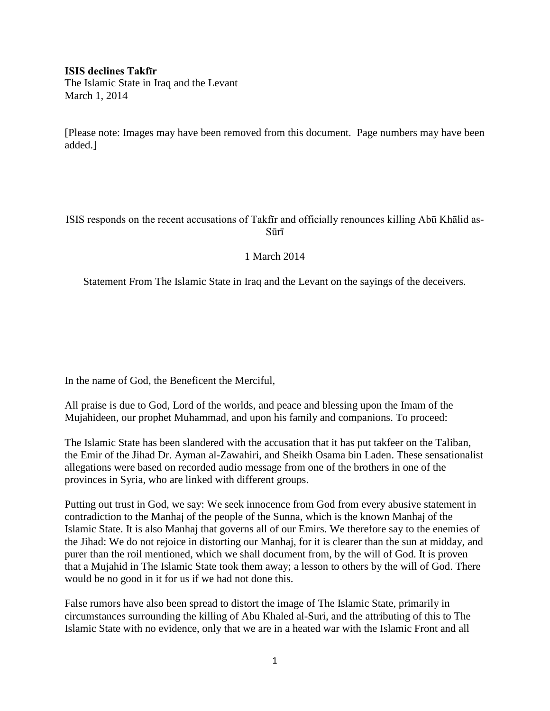**ISIS declines Takfīr**

The Islamic State in Iraq and the Levant March 1, 2014

[Please note: Images may have been removed from this document. Page numbers may have been added.]

ISIS responds on the recent accusations of Takfīr and officially renounces killing Abū Khālid as-Sūrī

## 1 March 2014

Statement From The Islamic State in Iraq and the Levant on the sayings of the deceivers.

In the name of God, the Beneficent the Merciful,

All praise is due to God, Lord of the worlds, and peace and blessing upon the Imam of the Mujahideen, our prophet Muhammad, and upon his family and companions. To proceed:

The Islamic State has been slandered with the accusation that it has put takfeer on the Taliban, the Emir of the Jihad Dr. Ayman al-Zawahiri, and Sheikh Osama bin Laden. These sensationalist allegations were based on recorded audio message from one of the brothers in one of the provinces in Syria, who are linked with different groups.

Putting out trust in God, we say: We seek innocence from God from every abusive statement in contradiction to the Manhaj of the people of the Sunna, which is the known Manhaj of the Islamic State. It is also Manhaj that governs all of our Emirs. We therefore say to the enemies of the Jihad: We do not rejoice in distorting our Manhaj, for it is clearer than the sun at midday, and purer than the roil mentioned, which we shall document from, by the will of God. It is proven that a Mujahid in The Islamic State took them away; a lesson to others by the will of God. There would be no good in it for us if we had not done this.

False rumors have also been spread to distort the image of The Islamic State, primarily in circumstances surrounding the killing of Abu Khaled al-Suri, and the attributing of this to The Islamic State with no evidence, only that we are in a heated war with the Islamic Front and all